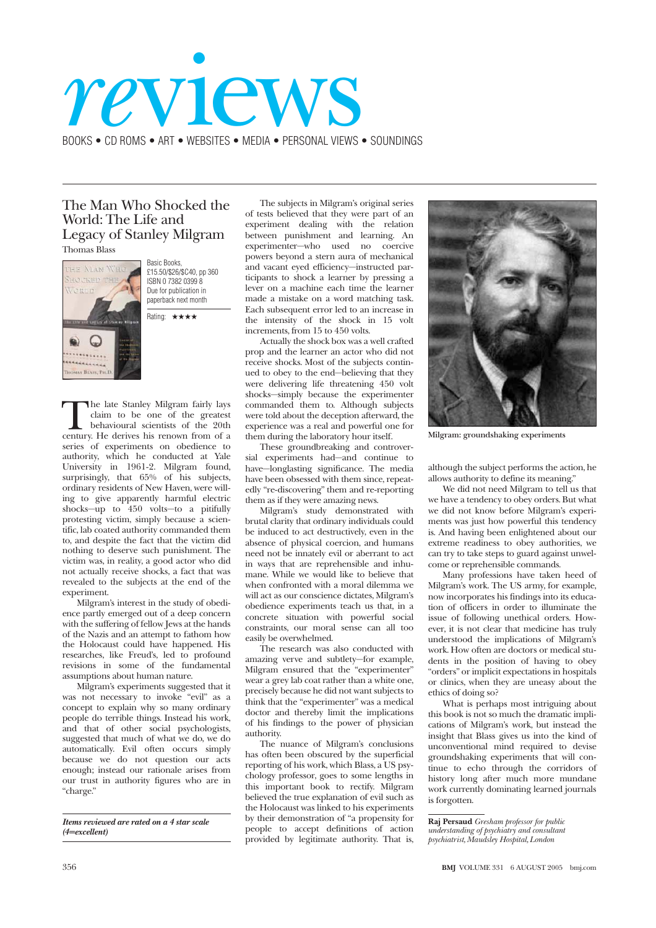# *ROOKS • CD ROMS • ART • WEBSITES • MEDIA • PERSONAL VIEWS •*

BOOKS • CD ROMS • ART • WEBSITES • MEDIA • PERSONAL VIEWS • SOUNDINGS

## The Man Who Shocked the World: The Life and Legacy of Stanley Milgram Thomas Blass



Basic Books, £15.50/\$26/\$C40, pp 360 ISBN 0 7382 0399 8 Due for publication in paperback next month

Rating: ★★★★

The late Stanley Milgram fairly lays<br>claim to be one of the greatest<br>behavioural scientists of the 20th<br>century. He derives his renown from of a claim to be one of the greatest behavioural scientists of the 20th series of experiments on obedience to authority, which he conducted at Yale University in 1961-2. Milgram found, surprisingly, that 65% of his subjects, ordinary residents of New Haven, were willing to give apparently harmful electric shocks—up to 450 volts—to a pitifully protesting victim, simply because a scientific, lab coated authority commanded them to, and despite the fact that the victim did nothing to deserve such punishment. The victim was, in reality, a good actor who did not actually receive shocks, a fact that was revealed to the subjects at the end of the experiment.

Milgram's interest in the study of obedience partly emerged out of a deep concern with the suffering of fellow Jews at the hands of the Nazis and an attempt to fathom how the Holocaust could have happened. His researches, like Freud's, led to profound revisions in some of the fundamental assumptions about human nature.

Milgram's experiments suggested that it was not necessary to invoke "evil" as a concept to explain why so many ordinary people do terrible things. Instead his work, and that of other social psychologists, suggested that much of what we do, we do automatically. Evil often occurs simply because we do not question our acts enough; instead our rationale arises from our trust in authority figures who are in "charge."

*Items reviewed are rated on a 4 star scale (4=excellent)*

The subjects in Milgram's original series of tests believed that they were part of an experiment dealing with the relation between punishment and learning. An experimenter—who used no coercive powers beyond a stern aura of mechanical and vacant eyed efficiency—instructed participants to shock a learner by pressing a lever on a machine each time the learner made a mistake on a word matching task. Each subsequent error led to an increase in the intensity of the shock in 15 volt increments, from 15 to 450 volts.

Actually the shock box was a well crafted prop and the learner an actor who did not receive shocks. Most of the subjects continued to obey to the end—believing that they were delivering life threatening 450 volt shocks—simply because the experimenter commanded them to. Although subjects were told about the deception afterward, the experience was a real and powerful one for them during the laboratory hour itself.

These groundbreaking and controversial experiments had—and continue to have—longlasting significance. The media have been obsessed with them since, repeatedly "re-discovering" them and re-reporting them as if they were amazing news.

Milgram's study demonstrated with brutal clarity that ordinary individuals could be induced to act destructively, even in the absence of physical coercion, and humans need not be innately evil or aberrant to act in ways that are reprehensible and inhumane. While we would like to believe that when confronted with a moral dilemma we will act as our conscience dictates, Milgram's obedience experiments teach us that, in a concrete situation with powerful social constraints, our moral sense can all too easily be overwhelmed.

The research was also conducted with amazing verve and subtlety—for example, Milgram ensured that the "experimenter" wear a grey lab coat rather than a white one, precisely because he did not want subjects to think that the "experimenter" was a medical doctor and thereby limit the implications of his findings to the power of physician authority.

The nuance of Milgram's conclusions has often been obscured by the superficial reporting of his work, which Blass, a US psychology professor, goes to some lengths in this important book to rectify. Milgram believed the true explanation of evil such as the Holocaust was linked to his experiments by their demonstration of "a propensity for people to accept definitions of action provided by legitimate authority. That is,



**Milgram: groundshaking experiments**

although the subject performs the action, he allows authority to define its meaning."

We did not need Milgram to tell us that we have a tendency to obey orders. But what we did not know before Milgram's experiments was just how powerful this tendency is. And having been enlightened about our extreme readiness to obey authorities, we can try to take steps to guard against unwelcome or reprehensible commands.

Many professions have taken heed of Milgram's work. The US army, for example, now incorporates his findings into its education of officers in order to illuminate the issue of following unethical orders. However, it is not clear that medicine has truly understood the implications of Milgram's work. How often are doctors or medical students in the position of having to obey "orders" or implicit expectations in hospitals or clinics, when they are uneasy about the ethics of doing so?

What is perhaps most intriguing about this book is not so much the dramatic implications of Milgram's work, but instead the insight that Blass gives us into the kind of unconventional mind required to devise groundshaking experiments that will continue to echo through the corridors of history long after much more mundane work currently dominating learned journals is forgotten.

**Raj Persaud** *Gresham professor for public understanding of psychiatry and consultant psychiatrist, Maudsley Hospital, London*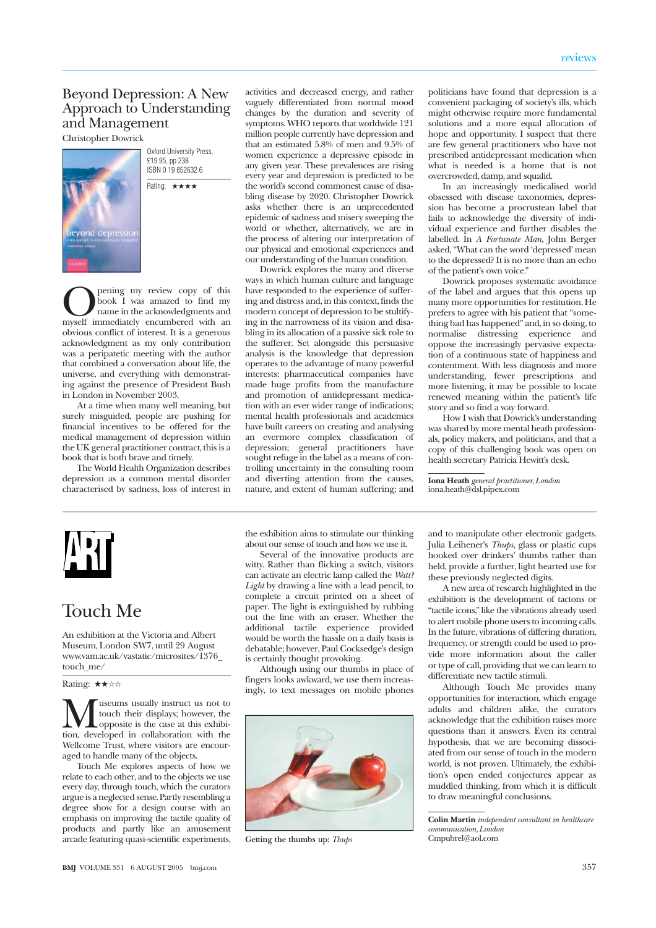## Beyond Depression: A New Approach to Understanding and Management

Christopher Dowrick



Oxford University Press, £19.95, pp 238 ISBN 0 19 852632 6

Rating: ★★★★

**O** pening my review copy of this<br>hook I was amazed to find my<br>myself immediately encumbered with an book I was amazed to find my name in the acknowledgments and obvious conflict of interest. It is a generous acknowledgment as my only contribution was a peripatetic meeting with the author that combined a conversation about life, the universe, and everything with demonstrating against the presence of President Bush in London in November 2003.

At a time when many well meaning, but surely misguided, people are pushing for financial incentives to be offered for the medical management of depression within the UK general practitioner contract, this is a book that is both brave and timely.

The World Health Organization describes depression as a common mental disorder characterised by sadness, loss of interest in

An exhibition at the Victoria and Albert Museum, London SW7, until 29 August www.vam.ac.uk/vastatic/microsites/1376\_

**MUSEUM** useums usually instruct us not to too too too too too their displays; however, the opposite is the case at this exhibition, developed in collaboration with the touch their displays; however, the opposite is the case at this exhibi-

Wellcome Trust, where visitors are encouraged to handle many of the objects.

Touch Me explores aspects of how we relate to each other, and to the objects we use every day, through touch, which the curators argue is a neglected sense. Partly resembling a degree show for a design course with an emphasis on improving the tactile quality of products and partly like an amusement arcade featuring quasi-scientific experiments,

Touch Me

touch\_me/ Rating: ★★☆☆



Dowrick explores the many and diverse ways in which human culture and language have responded to the experience of suffering and distress and, in this context, finds the modern concept of depression to be stultifying in the narrowness of its vision and disabling in its allocation of a passive sick role to the sufferer. Set alongside this persuasive analysis is the knowledge that depression operates to the advantage of many powerful interests: pharmaceutical companies have made huge profits from the manufacture and promotion of antidepressant medication with an ever wider range of indications; mental health professionals and academics have built careers on creating and analysing an evermore complex classification of depression; general practitioners have sought refuge in the label as a means of controlling uncertainty in the consulting room and diverting attention from the causes, nature, and extent of human suffering; and

the exhibition aims to stimulate our thinking about our sense of touch and how we use it.

Several of the innovative products are witty. Rather than flicking a switch, visitors can activate an electric lamp called the *Watt? Light* by drawing a line with a lead pencil, to complete a circuit printed on a sheet of paper. The light is extinguished by rubbing out the line with an eraser. Whether the additional tactile experience provided would be worth the hassle on a daily basis is debatable; however, Paul Cocksedge's design is certainly thought provoking.

Although using our thumbs in place of fingers looks awkward, we use them increasingly, to text messages on mobile phones



**Getting the thumbs up:** *Thups*

politicians have found that depression is a convenient packaging of society's ills, which might otherwise require more fundamental solutions and a more equal allocation of hope and opportunity. I suspect that there are few general practitioners who have not prescribed antidepressant medication when what is needed is a home that is not overcrowded, damp, and squalid.

In an increasingly medicalised world obsessed with disease taxonomies, depression has become a procrustean label that fails to acknowledge the diversity of individual experience and further disables the labelled. In *A Fortunate Man,* John Berger asked, "What can the word 'depressed' mean to the depressed? It is no more than an echo of the patient's own voice."

Dowrick proposes systematic avoidance of the label and argues that this opens up many more opportunities for restitution. He prefers to agree with his patient that "something bad has happened" and, in so doing, to normalise distressing experience and oppose the increasingly pervasive expectation of a continuous state of happiness and contentment. With less diagnosis and more understanding, fewer prescriptions and more listening, it may be possible to locate renewed meaning within the patient's life story and so find a way forward.

How I wish that Dowrick's understanding was shared by more mental heath professionals, policy makers, and politicians, and that a copy of this challenging book was open on health secretary Patricia Hewitt's desk.

**Iona Heath** *general practitioner, London* iona.heath@dsl.pipex.com

and to manipulate other electronic gadgets. Julia Leihener's *Thups*, glass or plastic cups hooked over drinkers' thumbs rather than held, provide a further, light hearted use for these previously neglected digits.

A new area of research highlighted in the exhibition is the development of tactons or "tactile icons," like the vibrations already used to alert mobile phone users to incoming calls. In the future, vibrations of differing duration, frequency, or strength could be used to provide more information about the caller or type of call, providing that we can learn to differentiate new tactile stimuli.

Although Touch Me provides many opportunities for interaction, which engage adults and children alike, the curators acknowledge that the exhibition raises more questions than it answers. Even its central hypothesis, that we are becoming dissociated from our sense of touch in the modern world, is not proven. Ultimately, the exhibition's open ended conjectures appear as muddled thinking, from which it is difficult to draw meaningful conclusions.

**Colin Martin** *independent consultant in healthcare communication, London* Cmpubrel@aol.com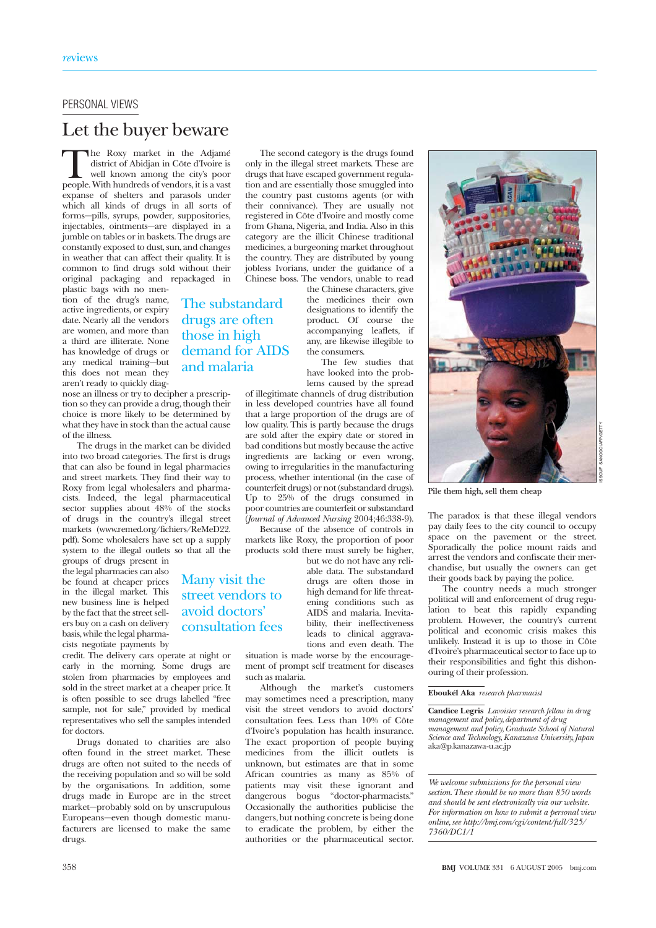### PERSONAL VIEWS

# Let the buyer beware

The Roxy market in the Adjamé district of Abidjan in Côte d'Ivoire is well known among the city's poor people. With hundreds of vendors, it is a vast district of Abidjan in Côte d'Ivoire is well known among the city's poor expanse of shelters and parasols under which all kinds of drugs in all sorts of forms—pills, syrups, powder, suppositories, injectables, ointments—are displayed in a jumble on tables or in baskets. The drugs are constantly exposed to dust, sun, and changes in weather that can affect their quality. It is common to find drugs sold without their original packaging and repackaged in

plastic bags with no mention of the drug's name, active ingredients, or expiry date. Nearly all the vendors are women, and more than a third are illiterate. None has knowledge of drugs or any medical training—but this does not mean they aren't ready to quickly diag-

nose an illness or try to decipher a prescription so they can provide a drug, though their choice is more likely to be determined by what they have in stock than the actual cause of the illness.

The drugs in the market can be divided into two broad categories. The first is drugs that can also be found in legal pharmacies and street markets. They find their way to Roxy from legal wholesalers and pharmacists. Indeed, the legal pharmaceutical sector supplies about  $48\%$  of the stocks of drugs in the country's illegal street markets (www.remed.org/fichiers/ReMeD22. pdf). Some wholesalers have set up a supply system to the illegal outlets so that all the

groups of drugs present in the legal pharmacies can also be found at cheaper prices in the illegal market. This new business line is helped by the fact that the street sellers buy on a cash on delivery basis, while the legal pharmacists negotiate payments by

credit. The delivery cars operate at night or early in the morning. Some drugs are stolen from pharmacies by employees and sold in the street market at a cheaper price. It is often possible to see drugs labelled "free sample, not for sale," provided by medical representatives who sell the samples intended for doctors.

Drugs donated to charities are also often found in the street market. These drugs are often not suited to the needs of the receiving population and so will be sold by the organisations. In addition, some drugs made in Europe are in the street market—probably sold on by unscrupulous Europeans—even though domestic manufacturers are licensed to make the same drugs.

The second category is the drugs found only in the illegal street markets. These are drugs that have escaped government regulation and are essentially those smuggled into the country past customs agents (or with their connivance). They are usually not registered in Côte d'Ivoire and mostly come from Ghana, Nigeria, and India. Also in this category are the illicit Chinese traditional medicines, a burgeoning market throughout the country. They are distributed by young jobless Ivorians, under the guidance of a Chinese boss. The vendors, unable to read

The substandard drugs are often those in high demand for AIDS and malaria

Many visit the street vendors to avoid doctors' consultation fees the Chinese characters, give the medicines their own designations to identify the product. Of course the accompanying leaflets, if any, are likewise illegible to the consumers.

The few studies that have looked into the problems caused by the spread

of illegitimate channels of drug distribution in less developed countries have all found that a large proportion of the drugs are of low quality. This is partly because the drugs are sold after the expiry date or stored in bad conditions but mostly because the active ingredients are lacking or even wrong, owing to irregularities in the manufacturing process, whether intentional (in the case of counterfeit drugs) or not (substandard drugs). Up to 25% of the drugs consumed in poor countries are counterfeit or substandard (*Journal of Advanced Nursing* 2004;46:338-9). Because of the absence of controls in

markets like Roxy, the proportion of poor products sold there must surely be higher,

but we do not have any reliable data. The substandard drugs are often those in high demand for life threatening conditions such as AIDS and malaria. Inevitability, their ineffectiveness leads to clinical aggravations and even death. The

situation is made worse by the encouragement of prompt self treatment for diseases such as malaria.

Although the market's customers may sometimes need a prescription, many visit the street vendors to avoid doctors' consultation fees. Less than 10% of Côte d'Ivoire's population has health insurance. The exact proportion of people buying medicines from the illicit outlets is unknown, but estimates are that in some African countries as many as 85% of patients may visit these ignorant and dangerous bogus "doctor-pharmacists." Occasionally the authorities publicise the dangers, but nothing concrete is being done to eradicate the problem, by either the authorities or the pharmaceutical sector.



**Pile them high, sell them cheap**

The paradox is that these illegal vendors pay daily fees to the city council to occupy space on the pavement or the street. Sporadically the police mount raids and arrest the vendors and confiscate their merchandise, but usually the owners can get their goods back by paying the police.

The country needs a much stronger political will and enforcement of drug regulation to beat this rapidly expanding problem. However, the country's current political and economic crisis makes this unlikely. Instead it is up to those in Côte d'Ivoire's pharmaceutical sector to face up to their responsibilities and fight this dishonouring of their profession.

#### **Eboukél Aka** *research pharmacist*

**Candice Legris** *Lavoisier research fellow in drug management and policy, department of drug management and policy, Graduate School of Natural Science and Technology, Kanazawa University, Japan* aka@p.kanazawa-u.ac.jp

*We welcome submissions for the personal view section. These should be no more than 850 words and should be sent electronically via our website. For information on how to submit a personal view online, see http://bmj.com/cgi/content/full/325/ 7360/DC1/1*